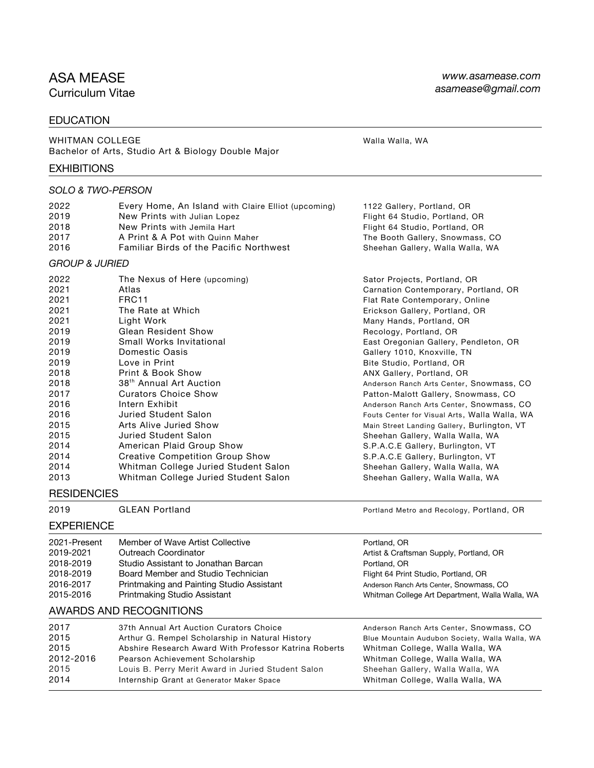# ASA MEASE

Curriculum Vitae

### EDUCATION

WHITMAN COLLEGE WALLACE WALLACE WAS ARRESTED FOR A WALLACE WAS MADE WALLACED WALLACED WAS MADE WAS A WALLACED AND MALLOCED AT A VEHICLE OF A VEHICLE OF A VEHICLE OF A VEHICLE OF A VEHICLE OF A VEHICLE OF A VEHICLE OF A VEH Bachelor of Arts, Studio Art & Biology Double Major

#### **EXHIBITIONS**

#### *SOLO & TWO-PERSON*

| 2022<br>2019<br>2018<br>2017<br>2016                                                                                                                         | Every Home, An Island with Claire Elliot (upcoming)<br>New Prints with Julian Lopez<br>New Prints with Jemila Hart<br>A Print & A Pot with Quinn Maher<br><b>Familiar Birds of the Pacific Northwest</b>                                                                                                                                                                                                                                                                                                                     | 1122 Gallery, Portland, OR<br>Flight 64 Studio, Portland, OR<br>Flight 64 Studio, Portland, OR<br>The Booth Gallery, Snowmass, CO<br>Sheehan Gallery, Walla Walla, WA                                                                                                                                                                                                                                                                                                                                                                                                                                                                                                                                                                                 |
|--------------------------------------------------------------------------------------------------------------------------------------------------------------|------------------------------------------------------------------------------------------------------------------------------------------------------------------------------------------------------------------------------------------------------------------------------------------------------------------------------------------------------------------------------------------------------------------------------------------------------------------------------------------------------------------------------|-------------------------------------------------------------------------------------------------------------------------------------------------------------------------------------------------------------------------------------------------------------------------------------------------------------------------------------------------------------------------------------------------------------------------------------------------------------------------------------------------------------------------------------------------------------------------------------------------------------------------------------------------------------------------------------------------------------------------------------------------------|
| <b>GROUP &amp; JURIED</b>                                                                                                                                    |                                                                                                                                                                                                                                                                                                                                                                                                                                                                                                                              |                                                                                                                                                                                                                                                                                                                                                                                                                                                                                                                                                                                                                                                                                                                                                       |
| 2022<br>2021<br>2021<br>2021<br>2021<br>2019<br>2019<br>2019<br>2019<br>2018<br>2018<br>2017<br>2016<br>2016<br>2015<br>2015<br>2014<br>2014<br>2014<br>2013 | The Nexus of Here (upcoming)<br>Atlas<br>FRC11<br>The Rate at Which<br>Light Work<br><b>Glean Resident Show</b><br>Small Works Invitational<br>Domestic Oasis<br>Love in Print<br>Print & Book Show<br>38 <sup>th</sup> Annual Art Auction<br><b>Curators Choice Show</b><br>Intern Exhibit<br>Juried Student Salon<br>Arts Alive Juried Show<br>Juried Student Salon<br>American Plaid Group Show<br><b>Creative Competition Group Show</b><br>Whitman College Juried Student Salon<br>Whitman College Juried Student Salon | Sator Projects, Portland, OR<br>Carnation Contemporary, Portland, OR<br>Flat Rate Contemporary, Online<br>Erickson Gallery, Portland, OR<br>Many Hands, Portland, OR<br>Recology, Portland, OR<br>East Oregonian Gallery, Pendleton, OR<br>Gallery 1010, Knoxville, TN<br>Bite Studio, Portland, OR<br>ANX Gallery, Portland, OR<br>Anderson Ranch Arts Center, Snowmass, CO<br>Patton-Malott Gallery, Snowmass, CO<br>Anderson Ranch Arts Center, Snowmass, CO<br>Fouts Center for Visual Arts, Walla Walla, WA<br>Main Street Landing Gallery, Burlington, VT<br>Sheehan Gallery, Walla Walla, WA<br>S.P.A.C.E Gallery, Burlington, VT<br>S.P.A.C.E Gallery, Burlington, VT<br>Sheehan Gallery, Walla Walla, WA<br>Sheehan Gallery, Walla Walla, WA |
| <b>DECIDENAIEC</b>                                                                                                                                           |                                                                                                                                                                                                                                                                                                                                                                                                                                                                                                                              |                                                                                                                                                                                                                                                                                                                                                                                                                                                                                                                                                                                                                                                                                                                                                       |

### **RESIDENCIES**

#### EXPERIENCE

| 2021-Present | Member of Wave Artist Collective          |
|--------------|-------------------------------------------|
| 2019-2021    | Outreach Coordinator                      |
| 2018-2019    | Studio Assistant to Jonathan Barcan       |
| 2018-2019    | Board Member and Studio Technician        |
| 2016-2017    | Printmaking and Painting Studio Assistant |
| 2015-2016    | Printmaking Studio Assistant              |

### AWARDS AND RECOGNITIONS

| 2017      |                                                       |                                                |
|-----------|-------------------------------------------------------|------------------------------------------------|
|           | 37th Annual Art Auction Curators Choice               | Anderson Ranch Arts Center, Snowmass, CO       |
| 2015      | Arthur G. Rempel Scholarship in Natural History       | Blue Mountain Audubon Society, Walla Walla, WA |
| 2015      | Abshire Research Award With Professor Katrina Roberts | Whitman College, Walla Walla, WA               |
| 2012-2016 | Pearson Achievement Scholarship                       | Whitman College, Walla Walla, WA               |
| 2015      | Louis B. Perry Merit Award in Juried Student Salon    | Sheehan Gallery, Walla Walla, WA               |
| 2014      | Internship Grant at Generator Maker Space             | Whitman College, Walla Walla, WA               |
|           |                                                       |                                                |

2019 GLEAN Portland **Properties and Recology, Portland, OR** 

Portland, OR Artist & Craftsman Supply, Portland, OR Portland, OR Flight 64 Print Studio, Portland, OR Anderson Ranch Arts Center, Snowmass, CO Whitman College Art Department, Walla Walla, WA